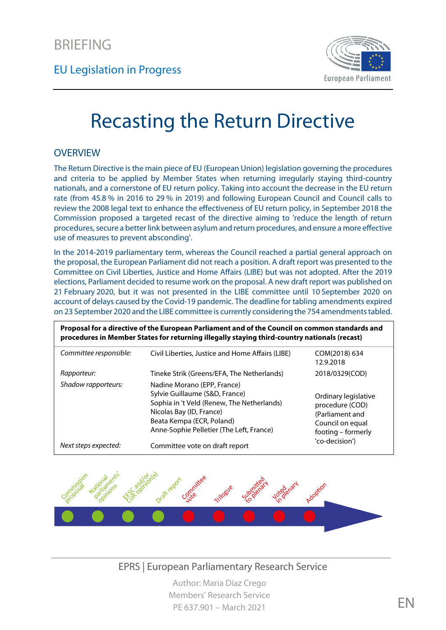EU Legislation in Progress



# Recasting the Return Directive

#### **OVERVIEW**

The Return Directive is the main piece of EU (European Union) legislation governing the procedures and criteria to be applied by Member States when returning irregularly staying third-country nationals, and a cornerstone of EU return policy. Taking into account the decrease in the EU return rate (from 45.8 % in 2016 to 29 % in 2019) and following European Council and Council calls to review the 2008 legal text to enhance the effectiveness of EU return policy, in September 2018 the Commission proposed a targeted recast of the directive aiming to 'reduce the length of return procedures, secure a better link between asylum and return procedures, and ensure a more effective use of measures to prevent absconding'.

In the 2014-2019 parliamentary term, whereas the Council reached a partial general approach on the proposal, the European Parliament did not reach a position. A draft report was presented to the Committee on Civil Liberties, Justice and Home Affairs (LIBE) but was not adopted. After the 2019 elections, Parliament decided to resume work on the proposal. A new draft report was published on 21 February 2020, but it was not presented in the LIBE committee until 10 September 2020 on account of delays caused by the Covid-19 pandemic. The deadline for tabling amendments expired on 23 September 2020 and the LIBE committee is currently considering the 754 amendments tabled.

| Proposal for a directive of the European Parliament and of the Council on common standards and<br>procedures in Member States for returning illegally staying third-country nationals (recast) |                                                                                                                                                                                                                  |                                                                                                      |
|------------------------------------------------------------------------------------------------------------------------------------------------------------------------------------------------|------------------------------------------------------------------------------------------------------------------------------------------------------------------------------------------------------------------|------------------------------------------------------------------------------------------------------|
| Committee responsible:                                                                                                                                                                         | Civil Liberties, Justice and Home Affairs (LIBE)                                                                                                                                                                 | COM(2018) 634<br>12.9.2018                                                                           |
| Rapporteur:                                                                                                                                                                                    | Tineke Strik (Greens/EFA, The Netherlands)                                                                                                                                                                       | 2018/0329(COD)                                                                                       |
| Shadow rapporteurs:                                                                                                                                                                            | Nadine Morano (EPP, France)<br>Sylvie Guillaume (S&D, France)<br>Sophia in 't Veld (Renew, The Netherlands)<br>Nicolas Bay (ID, France)<br>Beata Kempa (ECR, Poland)<br>Anne-Sophie Pelletier (The Left, France) | Ordinary legislative<br>procedure (COD)<br>(Parliament and<br>Council on equal<br>footing – formerly |
| Next steps expected:                                                                                                                                                                           | Committee vote on draft report                                                                                                                                                                                   | 'co-decision')                                                                                       |



EPRS | European Parliamentary Research Service

Author: Maria Diaz Crego Members' Research Service PE 637.901 – March 2021 EN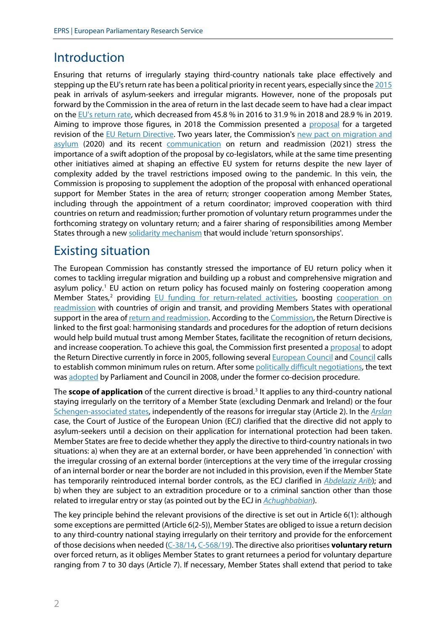#### Introduction

Ensuring that returns of irregularly staying third-country nationals take place effectively and stepping up the EU's return rate has been a political priority in recent years, especially since th[e 2015](https://ec.europa.eu/home-affairs/sites/homeaffairs/files/what-we-do/policies/european-agenda-migration/background-information/docs/communication_on_the_european_agenda_on_migration_en.pdf) peak in arrivals of asylum-seekers and irregular migrants. However, none of the proposals put forward by the Commission in the area of return in the last decade seem to have had a clear impact on the EU's [return rate,](https://ec.europa.eu/info/strategy/priorities-2019-2024/promoting-our-european-way-life/statistics-migration-europe_en) which decreased from 45.8 % in 2016 to 31.9 % in 2018 and 28.9 % in 2019. Aiming to improve those figures, in 2018 the Commission presented a [proposal](https://eur-lex.europa.eu/legal-content/EN/TXT/?uri=CELEX:52018PC0634) for a targeted revision of the [EU Return Directive.](https://eur-lex.europa.eu/legal-content/EN/TXT/?uri=CELEX:32008L0115) Two years later, the Commission's new pact on migration and [asylum](https://ec.europa.eu/info/publications/migration-and-asylum-package-new-pact-migration-and-asylum-documents-adopted-23-september-2020_en) (2020) and its recent [communication](https://ec.europa.eu/home-affairs/sites/homeaffairs/files/pdf/10022021_communication_on_enhancing_cooperation_on_return_and_readmission_com-2021-56_en.pdf) on return and readmission (2021) stress the importance of a swift adoption of the proposal by co-legislators, while at the same time presenting other initiatives aimed at shaping an effective EU system for returns despite the new layer of complexity added by the travel restrictions imposed owing to the pandemic. In this vein, the Commission is proposing to supplement the adoption of the proposal with enhanced operational support for Member States in the area of return; stronger cooperation among Member States, including through the appointment of a return coordinator; improved cooperation with third countries on return and readmission; further promotion of voluntary return programmes under the forthcoming strategy on voluntary return; and a fairer sharing of responsibilities among Member States through a new [solidarity mechanism](https://eur-lex.europa.eu/legal-content/EN/TXT/?qid=1601291110635&uri=COM%3A2020%3A610%3AFIN) that would include 'return sponsorships'.

#### Existing situation

The European Commission has constantly stressed the importance of EU return policy when it comes to tackling irregular migration and building up a robust and comprehensive migration and asylum policy.<sup>[1](#page-11-0)</sup> EU action on return policy has focused mainly on fostering cooperation among Member States,<sup>[2](#page-11-1)</sup> providing [EU funding for return-related activities,](https://eur-lex.europa.eu/legal-content/EN/TXT/?qid=1539002561017&uri=CELEX:32014R0516) boosting cooperation on [readmission](https://ec.europa.eu/home-affairs/what-we-do/policies/irregular-migration-return-policy/return-readmission_en) with countries of origin and transit, and providing Members States with operational support in the area o[f return and readmission.](https://frontex.europa.eu/we-support/types-of-operations/returns/) According to th[e Commission,](http://www.europarl.europa.eu/RegData/docs_autres_institutions/commission_europeenne/sec/2005/1057/COM_SEC(2005)1057_EN.pdf) the Return Directive is linked to the first goal: harmonising standards and procedures for the adoption of return decisions would help build mutual trust among Member States, facilitate the recognition of return decisions, and increase cooperation. To achieve this goal, the Commission first presented a [proposal](https://eur-lex.europa.eu/legal-content/EN/TXT/?uri=COM:2005:0391:FIN) to adopt the Return Directive currently in force in 2005, following severa[l European Council](https://eur-lex.europa.eu/legal-content/EN/TXT/?uri=CELEX%3A52005XG0303%2801%29) an[d Council](https://www.consilium.europa.eu/register/en/content/out?typ=SET&i=ADV&RESULTSET=1&DOC_TITLE=&CONTENTS=&DOC_ID=14931%2F02&DOS_INTERINST=&DOC_SUBJECT=&DOC_SUBTYPE=&DOC_DATE=&document_date_from_date=&document_date_from_date_submit=&document_date_to_date=&document_date_to_date_submit=&MEET_DATE=&meeting_date_from_date=&meeting_date_from_date_submit=&meeting_date_to_date=&meeting_date_to_date_submit=&DOC_LANCD=EN&ROWSPP=25&NRROWS=500&ORDERBY=DOC_DATE+DESC) calls to establish common minimum rules on return. After som[e politically difficult negotiations,](http://www.wolfpublishers.com/book.php?id=625) the text was [adopted](https://oeil.secure.europarl.europa.eu/oeil/popups/ficheprocedure.do?lang=en&reference=2005/0167(COD)) by Parliament and Council in 2008, under the former co-decision procedure.

The **scope of application** of the current directive is broad. [3](#page-11-2) It applies to any third-country national staying irregularly on the territory of a Member State (excluding Denmark and Ireland) or the four [Schengen-associated states,](https://www.consilium.europa.eu/media/34831/2017_139_d%C3%A9pliant_en_cor_web.pdf) independently of the reasons for irregular stay (Article 2). In the *[Arslan](http://curia.europa.eu/juris/liste.jsf?oqp=&for=&mat=or&jge=&td=%3BALL&jur=C%2CT%2CF&page=1&dates=&pcs=Oor&lg=&parties=arslan&pro=&nat=or&cit=none%252CC%252CCJ%252CR%252C2008E%252C%252C%252C%252C%252C%252C%252C%252C%252C%252Ctrue%252Cfalse%252Cfalse&language=en&avg=&cid=12996144)* case, the Court of Justice of the European Union (ECJ) clarified that the directive did not apply to asylum-seekers until a decision on their application for international protection had been taken. Member States are free to decide whether they apply the directive to third-country nationals in two situations: a) when they are at an external border, or have been apprehended 'in connection' with the irregular crossing of an external border (interceptions at the very time of the irregular crossing of an internal border or near the border are not included in this provision, even if the Member State has temporarily reintroduced internal border controls, as the ECJ clarified in *[Abdelaziz Arib](http://curia.europa.eu/juris/liste.jsf?oqp=&for=&mat=or&jge=&td=%3BALL&jur=C%2CT%2CF&num=C-444%252F17&page=1&dates=&pcs=Oor&lg=&pro=&nat=or&cit=none%252CC%252CCJ%252CR%252C2008E%252C%252C%252C%252C%252C%252C%252C%252C%252C%252Ctrue%252Cfalse%252Cfalse&language=en&avg=&cid=5303758)*); and b) when they are subject to an extradition procedure or to a criminal sanction other than those related to irregular entry or stay (as pointed out by the ECJ in *[Achughbabian](http://curia.europa.eu/juris/liste.jsf?oqp=&for=&mat=or&jge=&td=%3BALL&jur=C%2CT%2CF&page=1&dates=&pcs=Oor&lg=&parties=achughbabian&pro=&nat=or&cit=none%252CC%252CCJ%252CR%252C2008E%252C%252C%252C%252C%252C%252C%252C%252C%252C%252Ctrue%252Cfalse%252Cfalse&language=en&avg=&cid=10703387)*).

The key principle behind the relevant provisions of the directive is set out in Article 6(1): although some exceptions are permitted (Article 6(2-5)), Member States are obliged to issue a return decision to any third-country national staying irregularly on their territory and provide for the enforcement of those decisions when needed [\(C-38/14,](http://curia.europa.eu/juris/liste.jsf?oqp=&for=&mat=or&lgrec=en&jge=&td=%3BALL&jur=C%2CT%2CF&page=1&dates=&pcs=Oor&lg=&parties=zaizoune&pro=&nat=or&cit=none%252CC%252CCJ%252CR%252C2008E%252C%252C%252C%252C%252C%252C%252C%252C%252C%252Ctrue%252Cfalse%252Cfalse&language=en&avg=&cid=10709246) [C-568/19\)](http://curia.europa.eu/juris/document/document.jsf?text=&docid=232157&pageIndex=0&doclang=EN&mode=lst&dir=&occ=first&part=1&cid=16773840). The directive also prioritises **voluntary return** over forced return, as it obliges Member States to grant returnees a period for voluntary departure ranging from 7 to 30 days (Article 7). If necessary, Member States shall extend that period to take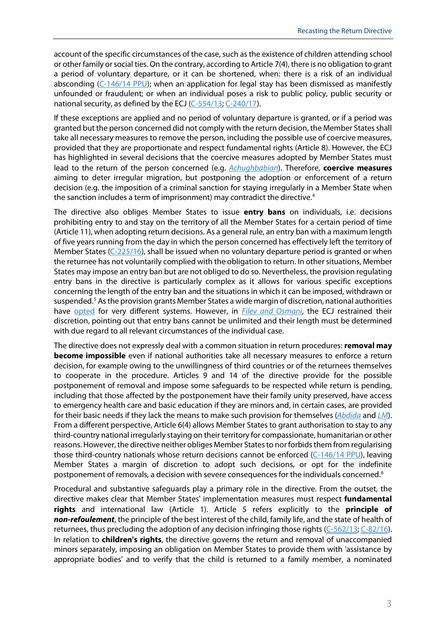account of the specific circumstances of the case, such asthe existence of children attending school or other family or social ties. On the contrary, according to Article 7(4), there is no obligation to grant a period of voluntary departure, or it can be shortened, when: there is a risk of an individual absconding  $(C-146/14$  PPU); when an application for legal stay has been dismissed as manifestly unfounded or fraudulent; or when an individual poses a risk to public policy, public security or national security, as defined by the ECJ [\(C-554/13;](http://curia.europa.eu/juris/liste.jsf?oqp=&for=&mat=or&jge=&td=%3BALL&jur=C%2CT%2CF&page=1&dates=&pcs=Oor&lg=&parties=zh%2Band%2Bo&pro=&nat=or&cit=none%252CC%252CCJ%252CR%252C2008E%252C%252C%252C%252C%252C%252C%252C%252C%252C%252Ctrue%252Cfalse%252Cfalse&language=en&avg=&cid=10921241) [C-240/17\)](http://curia.europa.eu/juris/fiche.jsf?id=C%3B240%3B17%3BRP%3B1%3BP%3B1%3BC2017%2F0240%2FJ&oqp=&for=&mat=or&lgrec=en&jge=&td=%3BALL&jur=C%2CT%2CF&dates=&pcs=Oor&lg=&pro=&nat=or&cit=L%252CC%252CCJ%252CR%252C2008E%252C%252C2008%252C115%252C%252C%252C%252C%252C%252C%252Ctrue%252Cfalse%252Cfalse&language=en&avg=&cid=13062854).

If these exceptions are applied and no period of voluntary departure is granted, or if a period was granted but the person concerned did not comply with the return decision, the Member States shall take all necessary measures to remove the person, including the possible use of coercive measures, provided that they are proportionate and respect fundamental rights (Article 8). However, the ECJ has highlighted in several decisions that the coercive measures adopted by Member States must lead to the return of the person concerned (e.g. *[Achughbabian](http://curia.europa.eu/juris/liste.jsf?oqp=&for=&mat=or&jge=&td=%3BALL&jur=C%2CT%2CF&page=1&dates=&pcs=Oor&lg=&parties=achughbabian&pro=&nat=or&cit=none%252CC%252CCJ%252CR%252C2008E%252C%252C%252C%252C%252C%252C%252C%252C%252C%252Ctrue%252Cfalse%252Cfalse&language=en&avg=&cid=10703387)*). Therefore, **coercive measures** aiming to deter irregular migration, but postponing the adoption or enforcement of a return decision (e.g. the imposition of a criminal sanction for staying irregularly in a Member State when the sanction includes a term of imprisonment) may contradict the directive.<sup>[4](#page-11-3)</sup>

The directive also obliges Member States to issue **entry bans** on individuals, i.e. decisions prohibiting entry to and stay on the territory of all the Member States for a certain period of time (Article 11), when adopting return decisions. As a general rule, an entry ban with a maximum length of five years running from the day in which the person concerned has effectively left the territory of Member States [\(C-225/16\)](http://curia.europa.eu/juris/liste.jsf?oqp=&for=&mat=or&jge=&td=%3BALL&jur=C%2CT%2CF&page=1&dates=&pcs=Oor&lg=&parties=Ouhrami&pro=&nat=or&cit=none%252CC%252CCJ%252CR%252C2008E%252C%252C%252C%252C%252C%252C%252C%252C%252C%252Ctrue%252Cfalse%252Cfalse&language=en&avg=&cid=13057050), shall be issued when no voluntary departure period is granted or when the returnee has not voluntarily complied with the obligation to return. In other situations, Member States may impose an entry ban but are not obliged to do so. Nevertheless, the provision regulating entry bans in the directive is particularly complex as it allows for various specific exceptions concerning the length of the entry ban and the situations in which it can be imposed, withdrawn or suspended. [5](#page-11-4) As the provision grants Member States a wide margin of discretion, national authorities have [opted](https://www.europarl.europa.eu/RegData/etudes/STUD/2020/642840/EPRS_STU(2020)642840_EN.pdf) for very different systems. However, in *[Filev and Osmani](http://curia.europa.eu/juris/document/document.jsf?text=&docid=141782&pageIndex=0&doclang=EN&mode=lst&dir=&occ=first&part=1&cid=10709246)*, the ECJ restrained their discretion, pointing out that entry bans cannot be unlimited and their length must be determined with due regard to all relevant circumstances of the individual case.

The directive does not expressly deal with a common situation in return procedures: **removal may become impossible** even if national authorities take all necessary measures to enforce a return decision, for example owing to the unwillingness of third countries or of the returnees themselves to cooperate in the procedure. Articles 9 and 14 of the directive provide for the possible postponement of removal and impose some safeguards to be respected while return is pending, including that those affected by the postponement have their family unity preserved, have access to emergency health care and basic education if they are minors and, in certain cases, are provided for their basic needs if they lack the means to make such provision for themselves (*[Abdida](http://curia.europa.eu/juris/liste.jsf?oqp=&for=&mat=or&jge=&td=%3BALL&jur=C%2CT%2CF&page=1&dates=&pcs=Oor&lg=&parties=abdida&pro=&nat=or&cit=none%252CC%252CCJ%252CR%252C2008E%252C%252C%252C%252C%252C%252C%252C%252C%252C%252Ctrue%252Cfalse%252Cfalse&language=en&avg=&cid=10928415)* and *[LM](http://curia.europa.eu/juris/document/document.jsf?text=&docid=231821&pageIndex=0&doclang=EN&mode=lst&dir=&occ=first&part=1&cid=16773840)*). From a different perspective, Article 6(4) allows Member States to grant authorisation to stay to any third-country national irregularly staying on their territory for compassionate, humanitarian or other reasons. However, the directive neither obliges Member States to nor forbidsthem from regularising those third-country nationals whose return decisions cannot be enforced [\(C-146/14 PPU\)](http://curia.europa.eu/juris/liste.jsf?oqp=&for=&mat=or&lgrec=en&jge=&td=%3BALL&jur=C%2CT%2CF&page=1&dates=&pcs=Oor&lg=&parties=mahdi&pro=&nat=or&cit=none%252CC%252CCJ%252CR%252C2008E%252C%252C%252C%252C%252C%252C%252C%252C%252C%252Ctrue%252Cfalse%252Cfalse&language=en&avg=&cid=10918417), leaving Member States a margin of discretion to adopt such decisions, or opt for the indefinite postponement of removals, a decision with severe consequences for the individuals concerned.<sup>[6](#page-11-5)</sup>

Procedural and substantive safeguards play a primary role in the directive. From the outset, the directive makes clear that Member States' implementation measures must respect **fundamental rights** and international law (Article 1). Article 5 refers explicitly to the **principle of**  *non-refoulement*, the principle of the best interest of the child, family life, and the state of health of returnees, thus precluding the adoption of any decision infringing those rights [\(C-562/13;](http://curia.europa.eu/juris/liste.jsf?oqp=&for=&mat=or&jge=&td=%3BALL&jur=C%2CT%2CF&page=1&dates=&pcs=Oor&lg=&parties=abdida&pro=&nat=or&cit=none%252CC%252CCJ%252CR%252C2008E%252C%252C%252C%252C%252C%252C%252C%252C%252C%252Ctrue%252Cfalse%252Cfalse&language=en&avg=&cid=10928415) [C-82/16\)](http://curia.europa.eu/juris/liste.jsf?oqp=&for=&mat=or&jge=&td=%3BALL&jur=C%2CT%2CF&num=C-82%252F16&page=1&dates=&pcs=Oor&lg=&pro=&nat=or&cit=none%252CC%252CCJ%252CR%252C2008E%252C%252C%252C%252C%252C%252C%252C%252C%252C%252Ctrue%252Cfalse%252Cfalse&language=en&avg=&cid=13026415). In relation to **children's rights**, the directive governs the return and removal of unaccompanied minors separately, imposing an obligation on Member States to provide them with 'assistance by appropriate bodies' and to verify that the child is returned to a family member, a nominated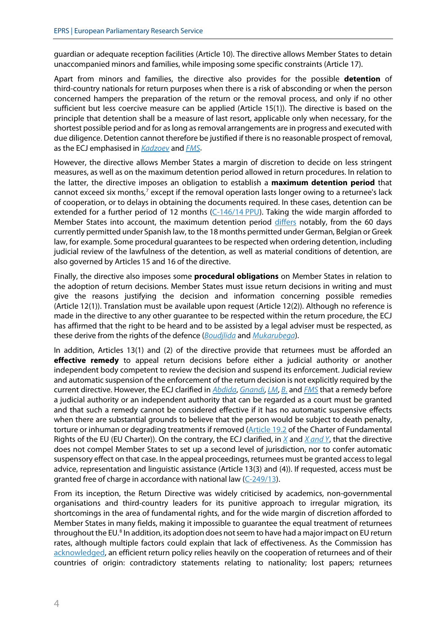guardian or adequate reception facilities (Article 10). The directive allows Member States to detain unaccompanied minors and families, while imposing some specific constraints (Article 17).

Apart from minors and families, the directive also provides for the possible **detention** of third-country nationals for return purposes when there is a risk of absconding or when the person concerned hampers the preparation of the return or the removal process, and only if no other sufficient but less coercive measure can be applied (Article 15(1)). The directive is based on the principle that detention shall be a measure of last resort, applicable only when necessary, for the shortest possible period and for as long as removal arrangements are in progress and executed with due diligence. Detention cannot therefore be justified if there is no reasonable prospect of removal, as the ECJ emphasised in *[Kadzoev](http://curia.europa.eu/juris/liste.jsf?oqp=&for=&mat=or&jge=&td=%3BALL&jur=C%2CT%2CF&page=1&dates=&pcs=Oor&lg=&parties=kadzoev&pro=&nat=or&cit=none%252CC%252CCJ%252CR%252C2008E%252C%252C%252C%252C%252C%252C%252C%252C%252C%252Ctrue%252Cfalse%252Cfalse&language=en&avg=&cid=13015929)* and *[FMS](http://curia.europa.eu/juris/document/document.jsf?text=&docid=226495&pageIndex=0&doclang=EN&mode=lst&dir=&occ=first&part=1&cid=16773840)*.

However, the directive allows Member States a margin of discretion to decide on less stringent measures, as well as on the maximum detention period allowed in return procedures. In relation to the latter, the directive imposes an obligation to establish a **maximum detention period** that cannot exceed six months,<sup>[7](#page-11-6)</sup> except if the removal operation lasts longer owing to a returnee's lack of cooperation, or to delays in obtaining the documents required. In these cases, detention can be extended for a further period of 12 months [\(C-146/14](http://curia.europa.eu/juris/liste.jsf?oqp=&for=&mat=or&jge=&td=%3BALL&jur=C%2CT%2CF&page=1&dates=&pcs=Oor&lg=&parties=mahdi&pro=&nat=or&cit=none%252CC%252CCJ%252CR%252C2008E%252C%252C%252C%252C%252C%252C%252C%252C%252C%252Ctrue%252Cfalse%252Cfalse&language=en&avg=&cid=13019678) PPU). Taking the wide margin afforded to Member States into account, the maximum detention period [differs](https://www.europarl.europa.eu/RegData/etudes/STUD/2020/642840/EPRS_STU(2020)642840_EN.pdf) notably, from the 60 days currently permitted under Spanish law, to the 18 months permitted under German, Belgian or Greek law, for example. Some procedural guarantees to be respected when ordering detention, including judicial review of the lawfulness of the detention, as well as material conditions of detention, are also governed by Articles 15 and 16 of the directive.

Finally, the directive also imposes some **procedural obligations** on Member States in relation to the adoption of return decisions. Member States must issue return decisions in writing and must give the reasons justifying the decision and information concerning possible remedies (Article 12(1)). Translation must be available upon request (Article 12(2)). Although no reference is made in the directive to any other guarantee to be respected within the return procedure, the ECJ has affirmed that the right to be heard and to be assisted by a legal adviser must be respected, as these derive from the rights of the defence (*[Boudjlida](http://curia.europa.eu/juris/liste.jsf?oqp=&for=&mat=or&jge=&td=%3BALL&jur=C%2CT%2CF&page=1&dates=&pcs=Oor&lg=&parties=Boudjlida&pro=&nat=or&cit=none%252CC%252CCJ%252CR%252C2008E%252C%252C%252C%252C%252C%252C%252C%252C%252C%252Ctrue%252Cfalse%252Cfalse&language=en&avg=&cid=10913538)* and *[Mukarubega](http://curia.europa.eu/juris/liste.jsf?oqp=&for=&mat=or&jge=&td=%3BALL&jur=C%2CT%2CF&page=1&dates=&pcs=Oor&lg=&parties=mukarubega&pro=&nat=or&cit=none%252CC%252CCJ%252CR%252C2008E%252C%252C%252C%252C%252C%252C%252C%252C%252C%252Ctrue%252Cfalse%252Cfalse&language=en&avg=&cid=10912703)*).

In addition, Articles 13(1) and (2) of the directive provide that returnees must be afforded an **effective remedy** to appeal return decisions before either a judicial authority or another independent body competent to review the decision and suspend its enforcement. Judicial review and automatic suspension of the enforcement of the return decision is not explicitly required by the current directive. However, the ECJ clarified in *[Abdida](http://curia.europa.eu/juris/liste.jsf?oqp=&for=&mat=or&jge=&td=%3BALL&jur=C%2CT%2CF&page=1&dates=&pcs=Oor&lg=&parties=abdida&pro=&nat=or&cit=none%252CC%252CCJ%252CR%252C2008E%252C%252C%252C%252C%252C%252C%252C%252C%252C%252Ctrue%252Cfalse%252Cfalse&language=en&avg=&cid=10928415)*, *[Gnandi](http://curia.europa.eu/juris/liste.jsf?oqp=&for=&mat=or&jge=&td=%3BALL&jur=C%2CT%2CF&page=1&dates=&pcs=Oor&lg=&parties=Gnandi&pro=&nat=or&cit=none%252CC%252CCJ%252CR%252C2008E%252C%252C%252C%252C%252C%252C%252C%252C%252C%252Ctrue%252Cfalse%252Cfalse&language=en&avg=&cid=13029408)*, *[LM](http://curia.europa.eu/juris/document/document.jsf?text=&docid=231821&pageIndex=0&doclang=EN&mode=lst&dir=&occ=first&part=1&cid=16773840)*, *[B](http://curia.europa.eu/juris/document/document.jsf?text=&docid=231822&pageIndex=0&doclang=EN&mode=lst&dir=&occ=first&part=1&cid=16773840)*. and *[FMS](http://curia.europa.eu/juris/document/document.jsf?text=&docid=226495&pageIndex=0&doclang=EN&mode=lst&dir=&occ=first&part=1&cid=16773840)* that a remedy before a judicial authority or an independent authority that can be regarded as a court must be granted and that such a remedy cannot be considered effective if it has no automatic suspensive effects when there are substantial grounds to believe that the person would be subject to death penalty, torture or inhuman or degrading treatments if removed [\(Article](https://eur-lex.europa.eu/legal-content/EN/TXT/?uri=CELEX%3A12016P019) 19.2 of the Charter of Fundamental Rights of the EU (EU Charter)). On the contrary, the ECJ clarified, in *[X](http://curia.europa.eu/juris/document/document.jsf?text=&docid=206119&pageIndex=0&doclang=en&mode=lst&dir=&occ=first&part=1&cid=13053946)* and *X [and](http://curia.europa.eu/juris/document/document.jsf?text=&docid=206115&pageIndex=0&doclang=en&mode=lst&dir=&occ=first&part=1&cid=13062854) Y*, that the directive does not compel Member States to set up a second level of jurisdiction, nor to confer automatic suspensory effect on that case. In the appeal proceedings, returnees must be granted access to legal advice, representation and linguistic assistance (Article 13(3) and (4)). If requested, access must be granted free of charge in accordance with national law [\(C-249/13\)](http://curia.europa.eu/juris/liste.jsf?oqp=&for=&mat=or&jge=&td=%3BALL&jur=C%2CT%2CF&page=1&dates=&pcs=Oor&lg=&parties=Boudjlida&pro=&nat=or&cit=none%252CC%252CCJ%252CR%252C2008E%252C%252C%252C%252C%252C%252C%252C%252C%252C%252Ctrue%252Cfalse%252Cfalse&language=en&avg=&cid=10913538).

From its inception, the Return Directive was widely criticised by academics, non-governmental organisations and third-country leaders for its punitive approach to irregular migration, its shortcomings in the area of fundamental rights, and for the wide margin of discretion afforded to Member States in many fields, making it impossible to guarantee the equal treatment of returnees throughout the EU.<sup>[8](#page-11-7)</sup> In addition, its adoption does not seem to have had a major impact on EU return rates, although multiple factors could explain that lack of effectiveness. As the Commission has [acknowledged,](https://ec.europa.eu/home-affairs/sites/homeaffairs/files/pdf/10022021_communication_on_enhancing_cooperation_on_return_and_readmission_com-2021-56_en.pdf) an efficient return policy relies heavily on the cooperation of returnees and of their countries of origin: contradictory statements relating to nationality; lost papers; returnees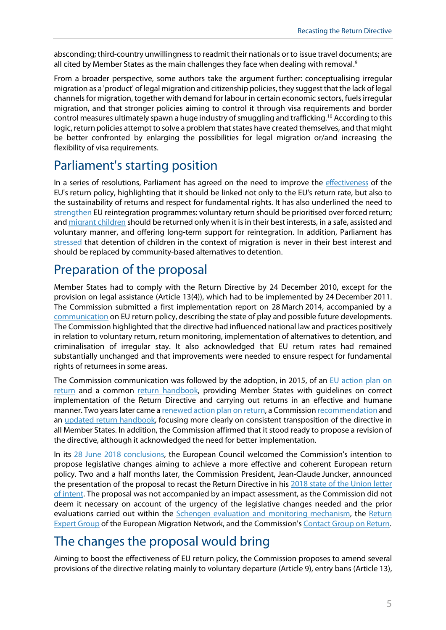absconding; third-country unwillingness to readmit their nationals or to issue travel documents; are all cited by Member States as the main challenges they face when dealing with removal.<sup>[9](#page-11-8)</sup>

From a broader perspective, some authors take the argument further: conceptualising irregular migration as a 'product' of legal migration and citizenship policies, they suggest that the lack of legal channels for migration, together with demand for labour in certain economic sectors, fuelsirregular migration, and that stronger policies aiming to control it through visa requirements and border control measures ultimately spawn a huge industry of smuggling and trafficking. [10](#page-11-9) According to this logic, return policies attempt to solve a problem that states have created themselves, and that might be better confronted by enlarging the possibilities for legal migration or/and increasing the flexibility of visa requirements.

## Parliament's starting position

In a series of resolutions, Parliament has agreed on the need to improve the [effectiveness](https://www.europarl.europa.eu/doceo/document/TA-9-2020-0362_EN.html) of the EU's return policy, highlighting that it should be linked not only to the EU's return rate, but also to the sustainability of returns and respect for fundamental rights. It has also underlined the need to [strengthen](http://www.europarl.europa.eu/sides/getDoc.do?pubRef=-//EP//TEXT+TA+P8-TA-2016-0337+0+DOC+XML+V0//EN) EU reintegration programmes: voluntary return should be prioritised over forced return; an[d migrant children](http://www.europarl.europa.eu/sides/getDoc.do?pubRef=-//EP//TEXT+TA+P8-TA-2018-0118+0+DOC+XML+V0//EN&language=EN) should be returned only when it is in their best interests, in a safe, assisted and voluntary manner, and offering long-term support for reintegration. In addition, Parliament has [stressed](https://www.europarl.europa.eu/doceo/document/TA-9-2020-0328_EN.html#ref_1_18) that detention of children in the context of migration is never in their best interest and should be replaced by community-based alternatives to detention.

## Preparation of the proposal

Member States had to comply with the Return Directive by 24 December 2010, except for the provision on legal assistance (Article 13(4)), which had to be implemented by 24 December 2011. The Commission submitted a first implementation report on 28 March 2014, accompanied by a [communication](https://eur-lex.europa.eu/legal-content/EN/TXT/?qid=1553177963695&uri=CELEX:52014DC0199) on EU return policy, describing the state of play and possible future developments. The Commission highlighted that the directive had influenced national law and practices positively in relation to voluntary return, return monitoring, implementation of alternatives to detention, and criminalisation of irregular stay. It also acknowledged that EU return rates had remained substantially unchanged and that improvements were needed to ensure respect for fundamental rights of returnees in some areas.

The Commission communication was followed by the adoption, in 2015, of an [EU action plan on](https://eur-lex.europa.eu/legal-content/EN/TXT/?qid=1553177963695&uri=CELEX:52015DC0453)  [return](https://eur-lex.europa.eu/legal-content/EN/TXT/?qid=1553177963695&uri=CELEX:52015DC0453) and a common [return handbook,](https://ec.europa.eu/home-affairs/sites/homeaffairs/files/what-we-do/policies/european-agenda-migration/proposal-implementation-package/docs/commission_recommendation_establishing_a_return_handbook_for_member_states_competent_authorities_to_deal_with_return_related_tasks_en.pdf) providing Member States with guidelines on correct implementation of the Return Directive and carrying out returns in an effective and humane manner. Two years later came [a renewed action plan on return,](https://eur-lex.europa.eu/legal-content/EN/TXT/?qid=1553177963695&uri=CELEX:52017DC0200) a Commissio[n recommendation](https://ec.europa.eu/home-affairs/sites/homeaffairs/files/what-we-do/policies/european-agenda-migration/20170302_commission_recommendation_on_making_returns_more_effective_en.pdf) and an updated [return handbook,](https://eur-lex.europa.eu/legal-content/EN/TXT/?uri=CELEX%3A32017H2338) focusing more clearly on consistent transposition of the directive in all Member States. In addition, the Commission affirmed that it stood ready to propose a revision of the directive, although it acknowledged the need for better implementation.

In its [28 June 2018 conclusions,](https://data.consilium.europa.eu/doc/document/ST-9-2018-INIT/en/pdf) the European Council welcomed the Commission's intention to propose legislative changes aiming to achieve a more effective and coherent European return policy. Two and a half months later, the Commission President, Jean-Claude Juncker, announced the presentation of the proposal to recast the Return Directive in his 2018 state of the Union letter [of intent.](https://ec.europa.eu/info/priorities/state-union-speeches/state-union-2018_en) The proposal was not accompanied by an impact assessment, as the Commission did not deem it necessary on account of the urgency of the legislative changes needed and the prior evaluations carried out within the [Schengen evaluation and monitoring mechanism,](https://ec.europa.eu/home-affairs/what-we-do/policies/borders-and-visas/schengen/schengen-evaluation_en) the Return [Expert Group](https://ec.europa.eu/home-affairs/what-we-do/networks/european_migration_network/expert-groups_en/return-expert-group_en) of the European Migration Network, and the Commission's [Contact Group on Return.](http://ec.europa.eu/transparency/regexpert/index.cfm?do=groupDetail.groupDetail&groupID=2232)

# The changes the proposal would bring

Aiming to boost the effectiveness of EU return policy, the Commission proposes to amend several provisions of the directive relating mainly to voluntary departure (Article 9), entry bans (Article 13),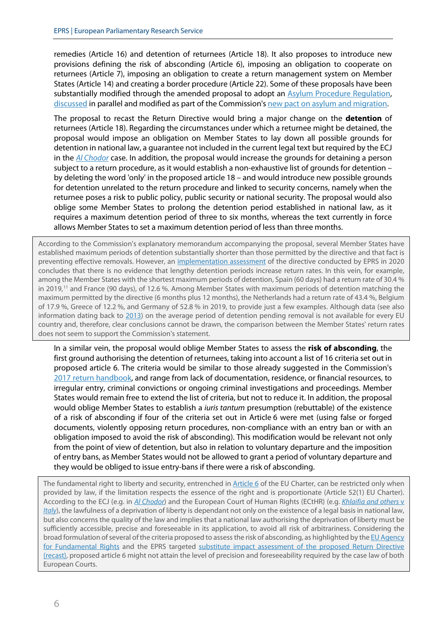remedies (Article 16) and detention of returnees (Article 18). It also proposes to introduce new provisions defining the risk of absconding (Article 6), imposing an obligation to cooperate on returnees (Article 7), imposing an obligation to create a return management system on Member States (Article 14) and creating a border procedure (Article 22). Some of these proposals have been substantially modified through the amended proposal to adopt an **Asylum Procedure Regulation**, [discussed](https://oeil.secure.europarl.europa.eu/oeil/popups/ficheprocedure.do?reference=2016/0224%28COD%29&l=en) in parallel and modified as part of the Commission'[s new pact on asylum and migration.](https://ec.europa.eu/info/publications/migration-and-asylum-package-new-pact-migration-and-asylum-documents-adopted-23-september-2020_en)

The proposal to recast the Return Directive would bring a major change on the **detention** of returnees (Article 18). Regarding the circumstances under which a returnee might be detained, the proposal would impose an obligation on Member States to lay down all possible grounds for detention in national law, a guarantee not included in the current legal text but required by the ECJ in the *Al [Chodor](http://curia.europa.eu/juris/liste.jsf?oqp=&for=&mat=or&jge=&td=%3BALL&jur=C%2CT%2CF&page=1&dates=&pcs=Oor&lg=&parties=al%2Bchodor&pro=&nat=or&cit=none%252CC%252CCJ%252CR%252C2008E%252C%252C%252C%252C%252C%252C%252C%252C%252C%252Ctrue%252Cfalse%252Cfalse&language=en&avg=&cid=13013913)* case. In addition, the proposal would increase the grounds for detaining a person subject to a return procedure, as it would establish a non-exhaustive list of grounds for detention – by deleting the word 'only' in the proposed article 18 – and would introduce new possible grounds for detention unrelated to the return procedure and linked to security concerns, namely when the returnee poses a risk to public policy, public security or national security. The proposal would also oblige some Member States to prolong the detention period established in national law, as it requires a maximum detention period of three to six months, whereas the text currently in force allows Member States to set a maximum detention period of less than three months.

According to the Commission's explanatory memorandum accompanying the proposal, several Member States have established maximum periods of detention substantially shorter than those permitted by the directive and that fact is preventing effective removals. However, an [implementation assessment](https://www.europarl.europa.eu/RegData/etudes/STUD/2020/642840/EPRS_STU(2020)642840_EN.pdf) of the directive conducted by EPRS in 2020 concludes that there is no evidence that lengthy detention periods increase return rates. In this vein, for example, among the Member States with the shortest maximum periods of detention, Spain (60 days) had a return rate of 30.4 % in 2019,<sup>[11](#page-11-10)</sup> and France (90 days), of 12.6 %. Among Member States with maximum periods of detention matching the maximum permitted by the directive (6 months plus 12 months), the Netherlands had a return rate of 43.4 %, Belgium of 17.9 %, Greece of 12.2 %, and Germany of 52.8 % in 2019, to provide just a few examples. Although data (see also information dating back to [2013\)](http://emn.ie/files/p_201411040451462014_emn_synthesis_detention_alternatives_to_detention_nov14.pdf) on the average period of detention pending removal is not available for every EU country and, therefore, clear conclusions cannot be drawn, the comparison between the Member States' return rates does not seem to support the Commission's statement.

In a similar vein, the proposal would oblige Member States to assess the **risk of absconding**, the first ground authorising the detention of returnees, taking into account a list of 16 criteria set out in proposed article 6. The criteria would be similar to those already suggested in the Commission's [2017 return handbook,](https://ec.europa.eu/home-affairs/sites/homeaffairs/files/what-we-do/policies/european-agenda-migration/proposal-implementation-package/docs/commission_recommendation_establishing_a_return_handbook_for_member_states_competent_authorities_to_deal_with_return_related_tasks_en.pdf) and range from lack of documentation, residence, or financial resources, to irregular entry, criminal convictions or ongoing criminal investigations and proceedings. Member States would remain free to extend the list of criteria, but not to reduce it. In addition, the proposal would oblige Member States to establish a *iuris tantum* presumption (rebuttable) of the existence of a risk of absconding if four of the criteria set out in Article 6 were met (using false or forged documents, violently opposing return procedures, non-compliance with an entry ban or with an obligation imposed to avoid the risk of absconding). This modification would be relevant not only from the point of view of detention, but also in relation to voluntary departure and the imposition of entry bans, as Member States would not be allowed to grant a period of voluntary departure and they would be obliged to issue entry-bans if there were a risk of absconding.

The fundamental right to liberty and security, entrenched in [Article 6](https://eur-lex.europa.eu/legal-content/EN/TXT/?uri=CELEX:12016P006) of the EU Charter, can be restricted only when provided by law, if the limitation respects the essence of the right and is proportionate (Article 52(1) EU Charter). According to the ECJ (e.g. in *[Al Chodor](http://curia.europa.eu/juris/liste.jsf?oqp=&for=&mat=or&jge=&td=%3BALL&jur=C%2CT%2CF&page=1&dates=&pcs=Oor&lg=&parties=al%2Bchodor&pro=&nat=or&cit=none%252CC%252CCJ%252CR%252C2008E%252C%252C%252C%252C%252C%252C%252C%252C%252C%252Ctrue%252Cfalse%252Cfalse&language=en&avg=&cid=13013913)*) and the European Court of Human Rights (ECtHR) (e.g. *[Khlaifia and others](https://hudoc.echr.coe.int/eng#%7B%22appno%22:%5B%2216483/12%22%5D,%22itemid%22:%5B%22001-170054%22%5D%7D)* v *[Italy](https://hudoc.echr.coe.int/eng#%7B%22appno%22:%5B%2216483/12%22%5D,%22itemid%22:%5B%22001-170054%22%5D%7D)*), the lawfulness of a deprivation of liberty is dependant not only on the existence of a legal basis in national law, but also concerns the quality of the law and implies that a national law authorising the deprivation of liberty must be sufficiently accessible, precise and foreseeable in its application, to avoid all risk of arbitrariness. Considering the broad formulation of several of the criteria proposed to assess the risk of absconding, as highlighted by the EU Agency [for Fundamental Rights](https://fra.europa.eu/en/opinion/2019/returns-recast) and the EPRS targeted substitute impact assessment of the proposed Return Directive [\(recast\),](http://www.europarl.europa.eu/RegData/etudes/STUD/2019/631727/EPRS_STU(2019)631727_EN.pdf) proposed article 6 might not attain the level of precision and foreseeability required by the case law of both European Courts.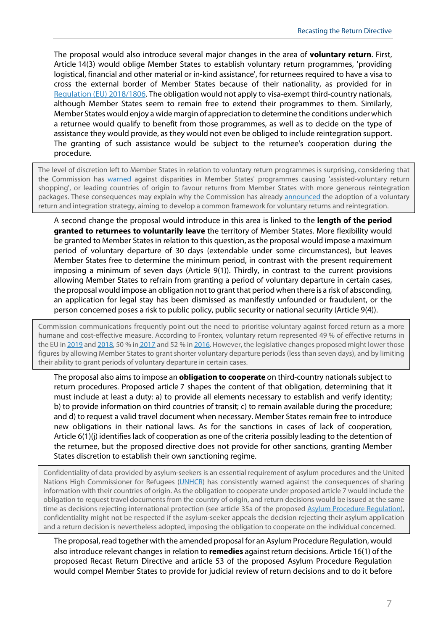The proposal would also introduce several major changes in the area of **voluntary return**. First, Article 14(3) would oblige Member States to establish voluntary return programmes, 'providing logistical, financial and other material or in-kind assistance', for returnees required to have a visa to cross the external border of Member States because of their nationality, as provided for in [Regulation \(EU\) 2018/1806.](https://eur-lex.europa.eu/legal-content/en/TXT/?uri=CELEX:32018R1806) The obligation would not apply to visa-exempt third-country nationals, although Member States seem to remain free to extend their programmes to them. Similarly, Member States would enjoy a wide margin of appreciation to determine the conditions under which a returnee would qualify to benefit from those programmes, as well as to decide on the type of assistance they would provide, as they would not even be obliged to include reintegration support. The granting of such assistance would be subject to the returnee's cooperation during the procedure.

The level of discretion left to Member States in relation to voluntary return programmes is surprising, considering that the Commission has [warned](https://eur-lex.europa.eu/legal-content/EN/TXT/?qid=1553177963695&uri=CELEX:52017DC0200) against disparities in Member States' programmes causing 'assisted-voluntary return shopping', or leading countries of origin to favour returns from Member States with more generous reintegration packages. These consequences may explain why the Commission has already [announced](https://eur-lex.europa.eu/legal-content/EN/TXT/?qid=1601287338054&uri=COM%3A2020%3A609%3AFIN#document2) the adoption of a voluntary return and integration strategy, aiming to develop a common framework for voluntary returns and reintegration.

A second change the proposal would introduce in this area is linked to the **length of the period granted to returnees to voluntarily leave** the territory of Member States. More flexibility would be granted to Member States in relation to this question, as the proposal would impose a maximum period of voluntary departure of 30 days (extendable under some circumstances), but leaves Member States free to determine the minimum period, in contrast with the present requirement imposing a minimum of seven days (Article 9(1)). Thirdly, in contrast to the current provisions allowing Member States to refrain from granting a period of voluntary departure in certain cases, the proposal would impose an obligation not to grant that period when there is a risk of absconding, an application for legal stay has been dismissed as manifestly unfounded or fraudulent, or the person concerned poses a risk to public policy, public security or national security (Article 9(4)).

Commission communications frequently point out the need to prioritise voluntary against forced return as a more humane and cost-effective measure. According to Frontex, voluntary return represented 49 % of effective returns in the EU in [2019](https://frontex.europa.eu/assets/Publications/Risk_Analysis/Risk_Analysis/Annual_Risk_Analysis_2020.pdf) an[d 2018,](https://frontex.europa.eu/assets/Publications/Risk_Analysis/Risk_Analysis/Risk_Analysis_for_2019.pdf) 50 % in [2017](https://frontex.europa.eu/assets/Publications/Risk_Analysis/Risk_Analysis/Risk_Analysis_for_2018.pdf) and 52 % i[n 2016.](https://frontex.europa.eu/assets/Publications/Risk_Analysis/Annual_Risk_Analysis_2017.pdf) However, the legislative changes proposed might lower those figures by allowing Member States to grant shorter voluntary departure periods (less than seven days), and by limiting their ability to grant periods of voluntary departure in certain cases.

The proposal also aims to impose an **obligation to cooperate** on third-country nationals subject to return procedures. Proposed article 7 shapes the content of that obligation, determining that it must include at least a duty: a) to provide all elements necessary to establish and verify identity; b) to provide information on third countries of transit; c) to remain available during the procedure; and d) to request a valid travel document when necessary. Member States remain free to introduce new obligations in their national laws. As for the sanctions in cases of lack of cooperation, Article 6(1)(j) identifies lack of cooperation as one of the criteria possibly leading to the detention of the returnee, but the proposed directive does not provide for other sanctions, granting Member States discretion to establish their own sanctioning regime.

Confidentiality of data provided by asylum-seekers is an essential requirement of asylum procedures and the United Nations High Commissioner for Refugees [\(UNHCR\)](https://www.refworld.org/pdfid/42b9190e4.pdf) has consistently warned against the consequences of sharing information with their countries of origin. As the obligation to cooperate under proposed article 7 would include the obligation to request travel documents from the country of origin, and return decisions would be issued at the same time as decisions rejecting international protection (see article 35a of the proposed [Asylum Procedure Regulation\)](https://www.europarl.europa.eu/RegData/docs_autres_institutions/commission_europeenne/com/2020/0611/COM_COM(2020)0611_EN.pdf), confidentiality might not be respected if the asylum-seeker appeals the decision rejecting their asylum application and a return decision is nevertheless adopted, imposing the obligation to cooperate on the individual concerned.

The proposal, read together with the amended proposal for an Asylum Procedure Regulation, would also introduce relevant changes in relation to **remedies** against return decisions. Article 16(1) of the proposed Recast Return Directive and article 53 of the proposed Asylum Procedure Regulation would compel Member States to provide for judicial review of return decisions and to do it before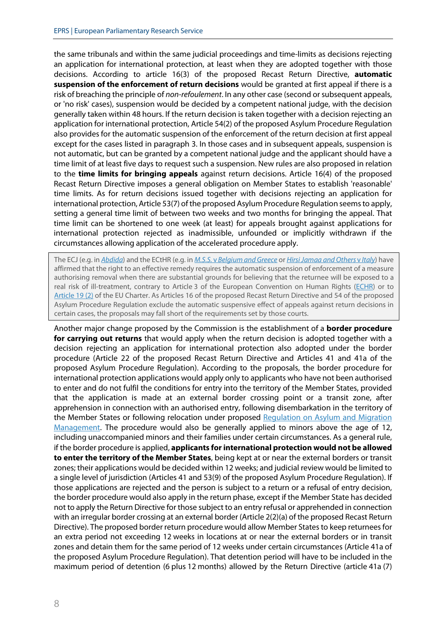the same tribunals and within the same judicial proceedings and time-limits as decisions rejecting an application for international protection, at least when they are adopted together with those decisions. According to article 16(3) of the proposed Recast Return Directive, **automatic suspension of the enforcement of return decisions** would be granted at first appeal if there is a risk of breaching the principle of *non-refoulement*. In any other case (second or subsequent appeals, or 'no risk' cases), suspension would be decided by a competent national judge, with the decision generally taken within 48 hours. If the return decision is taken together with a decision rejecting an application for international protection, Article 54(2) of the proposed Asylum Procedure Regulation also provides for the automatic suspension of the enforcement of the return decision at first appeal except for the cases listed in paragraph 3. In those cases and in subsequent appeals, suspension is not automatic, but can be granted by a competent national judge and the applicant should have a time limit of at least five days to request such a suspension. New rules are also proposed in relation to the **time limits for bringing appeals** against return decisions. Article 16(4) of the proposed Recast Return Directive imposes a general obligation on Member States to establish 'reasonable' time limits. As for return decisions issued together with decisions rejecting an application for international protection, Article 53(7) of the proposed Asylum Procedure Regulation seems to apply, setting a general time limit of between two weeks and two months for bringing the appeal. That time limit can be shortened to one week (at least) for appeals brought against applications for international protection rejected as inadmissible, unfounded or implicitly withdrawn if the circumstances allowing application of the accelerated procedure apply.

The ECJ (e.g. in *[Abdida](http://curia.europa.eu/juris/liste.jsf?oqp=&for=&mat=or&jge=&td=%3BALL&jur=C%2CT%2CF&page=1&dates=&pcs=Oor&lg=&parties=abdida&pro=&nat=or&cit=none%252CC%252CCJ%252CR%252C2008E%252C%252C%252C%252C%252C%252C%252C%252C%252C%252Ctrue%252Cfalse%252Cfalse&language=en&avg=&cid=10928415)*) and the ECtHR (e.g. in *M.S.S.* v *[Belgium and Greece](https://hudoc.echr.coe.int/eng#%7B%22docname%22:%5B%22m.s.s.%22%5D,%22documentcollectionid2%22:%5B%22GRANDCHAMBER%22,%22CHAMBER%22%5D,%22itemid%22:%5B%22001-103050%22%5D%7D)* or *[Hirsi Jamaa and Others](https://hudoc.echr.coe.int/eng#%7B%22appno%22:%5B%2227765/09%22%5D,%22itemid%22:%5B%22001-109231%22%5D%7D)* v *Italy*) have affirmed that the right to an effective remedy requires the automatic suspension of enforcement of a measure authorising removal when there are substantial grounds for believing that the returnee will be exposed to a real risk of ill-treatment, contrary to Article 3 of the European Convention on Human Rights [\(ECHR\)](https://www.echr.coe.int/Documents/Convention_ENG.pdf) or to [Article](https://eur-lex.europa.eu/legal-content/EN/TXT/?uri=CELEX:12016P019) 19 (2) of the EU Charter. As Articles 16 of the proposed Recast Return Directive and 54 of the proposed Asylum Procedure Regulation exclude the automatic suspensive effect of appeals against return decisions in certain cases, the proposals may fall short of the requirements set by those courts.

Another major change proposed by the Commission is the establishment of a **border procedure for carrying out returns** that would apply when the return decision is adopted together with a decision rejecting an application for international protection also adopted under the border procedure (Article 22 of the proposed Recast Return Directive and Articles 41 and 41a of the proposed Asylum Procedure Regulation). According to the proposals, the border procedure for international protection applications would apply only to applicants who have not been authorised to enter and do not fulfil the conditions for entry into the territory of the Member States, provided that the application is made at an external border crossing point or a transit zone, after apprehension in connection with an authorised entry, following disembarkation in the territory of the Member States or following relocation under proposed [Regulation on Asylum and Migration](https://eur-lex.europa.eu/legal-content/EN/TXT/?qid=1601291110635&uri=COM%3A2020%3A610%3AFIN)  [Management.](https://eur-lex.europa.eu/legal-content/EN/TXT/?qid=1601291110635&uri=COM%3A2020%3A610%3AFIN) The procedure would also be generally applied to minors above the age of 12, including unaccompanied minors and their families under certain circumstances. As a general rule, if the border procedure is applied, **applicants for international protection would not be allowed to enter the territory of the Member States**, being kept at or near the external borders or transit zones; their applications would be decided within 12 weeks; and judicial review would be limited to a single level of jurisdiction (Articles 41 and 53(9) of the proposed Asylum Procedure Regulation). If those applications are rejected and the person is subject to a return or a refusal of entry decision, the border procedure would also apply in the return phase, except if the Member State has decided not to apply the Return Directive for those subject to an entry refusal or apprehended in connection with an irregular border crossing at an external border (Article 2(2)(a) of the proposed Recast Return Directive). The proposed border return procedure would allow Member States to keep returnees for an extra period not exceeding 12 weeks in locations at or near the external borders or in transit zones and detain them for the same period of 12 weeks under certain circumstances (Article 41a of the proposed Asylum Procedure Regulation). That detention period will have to be included in the maximum period of detention (6 plus 12 months) allowed by the Return Directive (article 41a (7)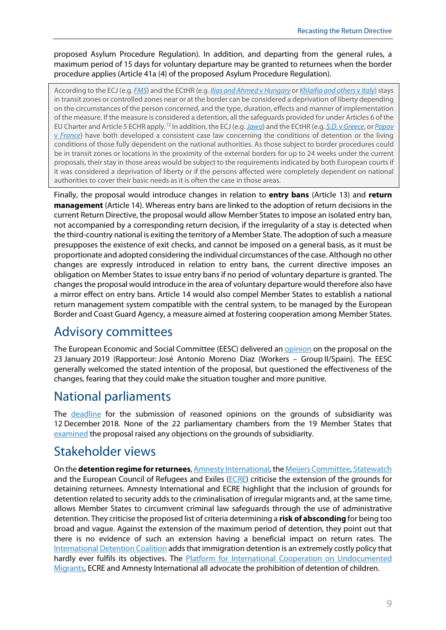proposed Asylum Procedure Regulation). In addition, and departing from the general rules, a maximum period of 15 days for voluntary departure may be granted to returnees when the border procedure applies (Article 41a (4) of the proposed Asylum Procedure Regulation).

According to the ECJ(e.g. *[FMS](http://curia.europa.eu/juris/document/document.jsf?text=&docid=226495&pageIndex=0&doclang=EN&mode=req&dir=&occ=first&part=1&cid=17073966)*) and the ECtHR (e.g. *[Ilias and Ahmed](https://hudoc.echr.coe.int/eng#%7B%22docname%22:%5B%22ilias%22%5D,%22documentcollectionid2%22:%5B%22GRANDCHAMBER%22,%22CHAMBER%22%5D,%22itemid%22:%5B%22001-198760%22%5D%7D)* v *Hungary* or *[Khlaifia and others](https://hudoc.echr.coe.int/eng#%7B%22appno%22:%5B%2216483/12%22%5D,%22itemid%22:%5B%22001-170054%22%5D%7D)* v *Italy*) stays in transit zones or controlled zones near or at the border can be considered a deprivation of liberty depending on the circumstances of the person concerned, and the type, duration, effects and manner of implementation of the measure. If the measure is considered a detention, all the safeguards provided for under Articles 6 of the EU Charter and Article 5 ECHR apply. [12](#page-11-11) In addition, the ECJ(e.g.*[Jawo](http://curia.europa.eu/juris/document/document.jsf?text=M.S.S.&docid=211803&pageIndex=0&doclang=EN&mode=req&dir=&occ=first&part=1&cid=17076193#ctx1)*) and the ECtHR (e.g. *S.D.* v*[Greece](https://hudoc.echr.coe.int/eng#%7B%22docname%22:%5B%22s.d.%22%5D,%22documentcollectionid2%22:%5B%22GRANDCHAMBER%22,%22CHAMBER%22%5D,%22itemid%22:%5B%22001-93034%22%5D%7D)*, or *[Popov](https://hudoc.echr.coe.int/eng#%7B%22appno%22:%5B%2226853/04%22%5D,%22itemid%22:%5B%22001-76341%22%5D%7D)*  v *[France](https://hudoc.echr.coe.int/eng#%7B%22appno%22:%5B%2226853/04%22%5D,%22itemid%22:%5B%22001-76341%22%5D%7D)*) have both developed a consistent case law concerning the conditions of detention or the living conditions of those fully dependent on the national authorities. As those subject to border procedures could be in transit zones or locations in the proximity of the external borders for up to 24 weeks under the current proposals, their stay in those areas would be subject to the requirements indicated by both European courts if it was considered a deprivation of liberty or if the persons affected were completely dependent on national authorities to cover their basic needs as it is often the case in those areas.

Finally, the proposal would introduce changes in relation to **entry bans** (Article 13) and **return management** (Article 14). Whereas entry bans are linked to the adoption of return decisions in the current Return Directive, the proposal would allow Member States to impose an isolated entry ban, not accompanied by a corresponding return decision, if the irregularity of a stay is detected when the third-country national is exiting the territory of a Member State. The adoption of such a measure presupposes the existence of exit checks, and cannot be imposed on a general basis, as it must be proportionate and adopted considering the individual circumstances of the case. Although no other changes are expressly introduced in relation to entry bans, the current directive imposes an obligation on Member States to issue entry bans if no period of voluntary departure is granted. The changes the proposal would introduce in the area of voluntary departure would therefore also have a mirror effect on entry bans. Article 14 would also compel Member States to establish a national return management system compatible with the central system, to be managed by the European Border and Coast Guard Agency, a measure aimed at fostering cooperation among Member States.

## Advisory committees

The European Economic and Social Committee (EESC) delivered an **opinion** on the proposal on the 23 January 2019 (Rapporteur: José Antonio Moreno Díaz (Workers – Group II/Spain). The EESC generally welcomed the stated intention of the proposal, but questioned the effectiveness of the changes, fearing that they could make the situation tougher and more punitive.

## National parliaments

The [deadline](http://www.ipex.eu/IPEXL-WEB/dossier/document/COM20180634.do#dossier-COD20180329) for the submission of reasoned opinions on the grounds of subsidiarity was 12 December 2018. None of the 22 parliamentary chambers from the 19 Member States that [examined](https://oeil.secure.europarl.europa.eu/oeil/popups/ficheprocedure.do?lang=en&reference=2018/0329(OLP)) the proposal raised any objections on the grounds of subsidiarity.

## Stakeholder views

On the **detention regime for returnees**[, Amnesty International,](https://www.amnesty.eu/news/position-paper-the-european-commission-proposal-for-recasting-the-return-directive/) th[e Meijers Committee,](https://www.eerstekamer.nl/eu/documenteu/cm1816_notitie_van_de_commissie/f=/vku0ok9buyq8.pdf) [Statewatch](https://www.statewatch.org/media/1321/deportation-union.pdf) and the European Council of Refugees and Exiles [\(ECRE\)](https://www.ecre.org/wp-content/uploads/2018/11/ECRE-Comments-Commission-Proposal-Return-Directive.pdf) criticise the extension of the grounds for detaining returnees. Amnesty International and ECRE highlight that the inclusion of grounds for detention related to security adds to the criminalisation of irregular migrants and, at the same time, allows Member States to circumvent criminal law safeguards through the use of administrative detention. They criticise the proposed list of criteria determining a **risk of absconding** for being too broad and vague. Against the extension of the maximum period of detention, they point out that there is no evidence of such an extension having a beneficial impact on return rates. The [International Detention Coalition](https://idcoalition.org/news/recast-return-directive-foresees-more-immigration-detention/) adds that immigration detention is an extremely costly policy that hardly ever fulfils its objectives. The [Platform for International Cooperation on Undocumented](https://picum.org/momentum-builds-towards-ending-detention-of-children/)  [Migrants,](https://picum.org/momentum-builds-towards-ending-detention-of-children/) ECRE and Amnesty International all advocate the prohibition of detention of children.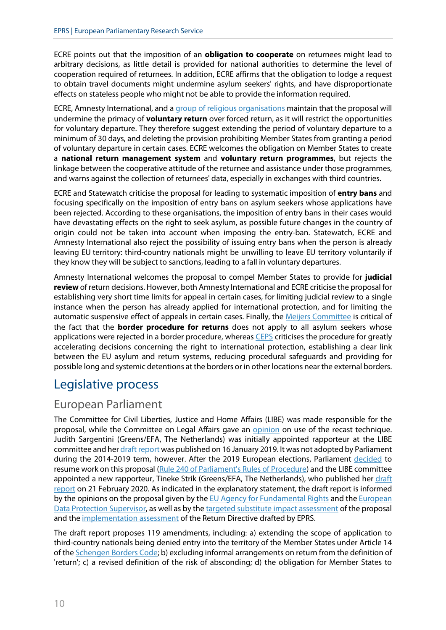ECRE points out that the imposition of an **obligation to cooperate** on returnees might lead to arbitrary decisions, as little detail is provided for national authorities to determine the level of cooperation required of returnees. In addition, ECRE affirms that the obligation to lodge a request to obtain travel documents might undermine asylum seekers' rights, and have disproportionate effects on stateless people who might not be able to provide the information required.

ECRE, Amnesty International, and [a group of religious organisations](https://www.caritas.eu/wordpress/wp-content/uploads/2019/02/190207_Return_comments_faith_based_NGOs.pdf) maintain that the proposal will undermine the primacy of **voluntary return** over forced return, as it will restrict the opportunities for voluntary departure. They therefore suggest extending the period of voluntary departure to a minimum of 30 days, and deleting the provision prohibiting Member States from granting a period of voluntary departure in certain cases. ECRE welcomes the obligation on Member States to create a **national return management system** and **voluntary return programmes**, but rejects the linkage between the cooperative attitude of the returnee and assistance under those programmes, and warns against the collection of returnees' data, especially in exchanges with third countries.

ECRE and Statewatch criticise the proposal for leading to systematic imposition of **entry bans** and focusing specifically on the imposition of entry bans on asylum seekers whose applications have been rejected. According to these organisations, the imposition of entry bans in their cases would have devastating effects on the right to seek asylum, as possible future changes in the country of origin could not be taken into account when imposing the entry-ban. Statewatch, ECRE and Amnesty International also reject the possibility of issuing entry bans when the person is already leaving EU territory: third-country nationals might be unwilling to leave EU territory voluntarily if they know they will be subject to sanctions, leading to a fall in voluntary departures.

Amnesty International welcomes the proposal to compel Member States to provide for **judicial review** of return decisions. However, both Amnesty International and ECRE criticise the proposal for establishing very short time limits for appeal in certain cases, for limiting judicial review to a single instance when the person has already applied for international protection, and for limiting the automatic suspensive effect of appeals in certain cases. Finally, the [Meijers Committee](https://www.commissie-meijers.nl/sites/all/files/cm2014_asylum_procedures_regulation.pdf) is critical of the fact that the **border procedure for returns** does not apply to all asylum seekers whose applications were rejected in a border procedure, whereas [CEPS](https://www.asileproject.eu/wp-content/uploads/2020/09/PI2020-22-New-EU-Pact-on-Migration-and-Asylum.pdf) criticises the procedure for greatly accelerating decisions concerning the right to international protection, establishing a clear link between the EU asylum and return systems, reducing procedural safeguards and providing for possible long and systemic detentions at the borders or in other locations near the external borders.

## Legislative process

#### European Parliament

The Committee for Civil Liberties, Justice and Home Affairs (LIBE) was made responsible for the proposal, while the Committee on Legal Affairs gave an [opinion](http://www.europarl.europa.eu/sides/getDoc.do?type=COMPARL&mode=XML&language=EN&reference=PE632.978) on use of the recast technique. Judith Sargentini (Greens/EFA, The Netherlands) was initially appointed rapporteur at the LIBE committee and he[r draft report](http://www.europarl.europa.eu/sides/getDoc.do?type=COMPARL&mode=XML&language=EN&reference=PE632.950) was published on 16 January 2019. It was not adopted by Parliament during the 2014-2019 term, however. After the 2019 European elections, Parliament [decided](https://www.europarl.europa.eu/doceo/document/PV-9-2019-10-21_EN.html#pvitem_ann_1) to resume work on this proposal [\(Rule 240 of Parliament's Rules of Procedure\)](http://www.europarl.europa.eu/doceo/document/RULES-9-2019-07-02-RULE-240_EN.html) and the LIBE committee appointed a new rapporteur, Tineke Strik (Greens/EFA, The Netherlands), who published her [draft](https://www.europarl.europa.eu/doceo/document/LIBE-PR-648370_EN.pdf)  [report](https://www.europarl.europa.eu/doceo/document/LIBE-PR-648370_EN.pdf) on 21 February 2020. As indicated in the explanatory statement, the draft report is informed by the opinions on the proposal given by the [EU Agency for Fundamental Rights](https://fra.europa.eu/en/opinion/2019/returns-recast) and the European [Data Protection Supervisor,](https://edps.europa.eu/data-protection/our-work/publications/comments/formal-comments-edps-commission-proposal-directive_en) as well as by the [targeted substitute impact assessment](http://www.europarl.europa.eu/RegData/etudes/STUD/2019/631727/EPRS_STU(2019)631727_EN.pdf) of the proposal and th[e implementation assessment](https://www.europarl.europa.eu/RegData/etudes/STUD/2020/642840/EPRS_STU(2020)642840_EN.pdf) of the Return Directive drafted by EPRS.

The draft report proposes 119 amendments, including: a) extending the scope of application to third-country nationals being denied entry into the territory of the Member States under Article 14 of the [Schengen Borders Code;](https://eur-lex.europa.eu/legal-content/EN/TXT/?uri=CELEX%3A02016R0399-20190611) b) excluding informal arrangements on return from the definition of 'return'; c) a revised definition of the risk of absconding; d) the obligation for Member States to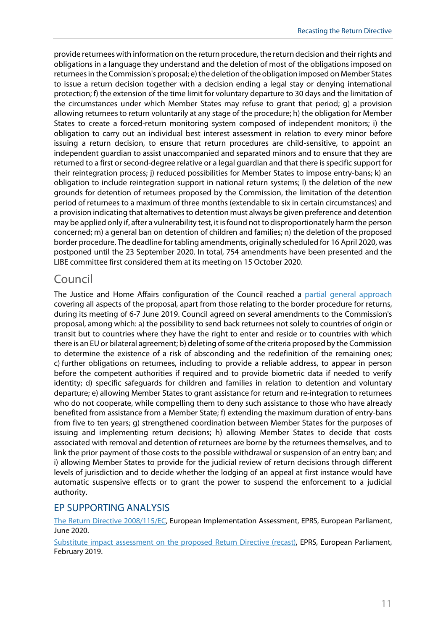provide returnees with information on the return procedure, the return decision and their rights and obligations in a language they understand and the deletion of most of the obligations imposed on returnees in the Commission's proposal; e) the deletion of the obligation imposed on Member States to issue a return decision together with a decision ending a legal stay or denying international protection; f) the extension of the time limit for voluntary departure to 30 days and the limitation of the circumstances under which Member States may refuse to grant that period; g) a provision allowing returnees to return voluntarily at any stage of the procedure; h) the obligation for Member States to create a forced-return monitoring system composed of independent monitors; i) the obligation to carry out an individual best interest assessment in relation to every minor before issuing a return decision, to ensure that return procedures are child-sensitive, to appoint an independent guardian to assist unaccompanied and separated minors and to ensure that they are returned to a first or second-degree relative or a legal guardian and that there is specific support for their reintegration process; j) reduced possibilities for Member States to impose entry-bans; k) an obligation to include reintegration support in national return systems; l) the deletion of the new grounds for detention of returnees proposed by the Commission, the limitation of the detention period of returnees to a maximum of three months (extendable to six in certain circumstances) and a provision indicating that alternatives to detention must always be given preference and detention may be applied only if, after a vulnerability test, it is found not to disproportionately harm the person concerned; m) a general ban on detention of children and families; n) the deletion of the proposed border procedure. The deadline for tabling amendments, originally scheduled for 16 April 2020, was postponed until the 23 September 2020. In total, 754 amendments have been presented and the LIBE committee first considered them at its meeting on 15 October 2020.

#### Council

The Justice and Home Affairs configuration of the Council reached a [partial general approach](https://data.consilium.europa.eu/doc/document/ST-10144-2019-INIT/en/pdf) covering all aspects of the proposal, apart from those relating to the border procedure for returns, during its meeting of 6-7 June 2019. Council agreed on several amendments to the Commission's proposal, among which: a) the possibility to send back returnees not solely to countries of origin or transit but to countries where they have the right to enter and reside or to countries with which there is an EU or bilateral agreement; b) deleting of some of the criteria proposed by the Commission to determine the existence of a risk of absconding and the redefinition of the remaining ones; c) further obligations on returnees, including to provide a reliable address, to appear in person before the competent authorities if required and to provide biometric data if needed to verify identity; d) specific safeguards for children and families in relation to detention and voluntary departure; e) allowing Member States to grant assistance for return and re-integration to returnees who do not cooperate, while compelling them to deny such assistance to those who have already benefited from assistance from a Member State; f) extending the maximum duration of entry-bans from five to ten years; g) strengthened coordination between Member States for the purposes of issuing and implementing return decisions; h) allowing Member States to decide that costs associated with removal and detention of returnees are borne by the returnees themselves, and to link the prior payment of those costs to the possible withdrawal or suspension of an entry ban; and i) allowing Member States to provide for the judicial review of return decisions through different levels of jurisdiction and to decide whether the lodging of an appeal at first instance would have automatic suspensive effects or to grant the power to suspend the enforcement to a judicial authority.

#### EP SUPPORTING ANALYSIS

[The Return Directive 2008/115/EC,](https://www.europarl.europa.eu/RegData/etudes/STUD/2020/642840/EPRS_STU(2020)642840_EN.pdf) European Implementation Assessment, EPRS, European Parliament, June 2020.

[Substitute impact assessment on the](http://www.europarl.europa.eu/RegData/etudes/STUD/2019/631727/EPRS_STU(2019)631727_EN.pdf) proposed Return Directive (recast), EPRS, European Parliament, February 2019.